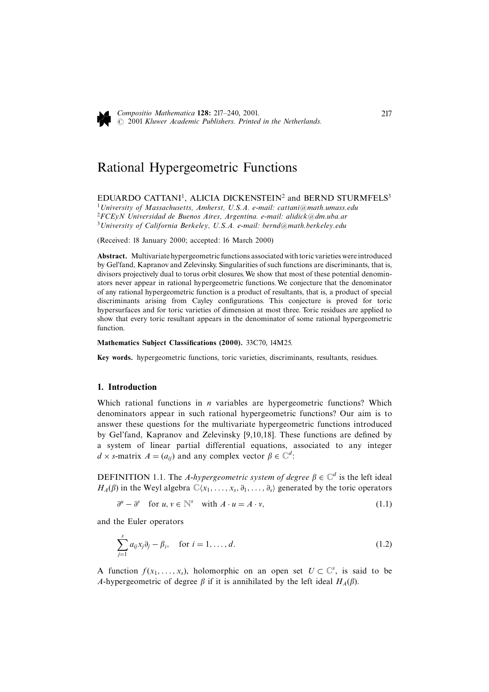

# Rational Hypergeometric Functions

# EDUARDO CATTANI<sup>1</sup>. ALICIA DICKENSTEIN<sup>2</sup> and BERND STURMFELS<sup>3</sup>

<sup>1</sup> University of Massachusetts, Amherst, U.S.A. e-mail: cattani@math.umass.edu  ${}^{2}FCE$ yN Universidad de Buenos Aires, Argentina. e-mail: alidick@dm.uba.ar <sup>3</sup> University of California Berkeley, U.S.A. e-mail: bernd@math.berkeley.edu

(Received: 18 January 2000; accepted: 16 March 2000)

Abstract. Multivariate hypergeometric functions associated with toric varieties were introduced by Gel'fand, Kapranov and Zelevinsky. Singularities of such functions are discriminants, that is, divisors projectively dual to torus orbit closures. We show that most of these potential denominators never appear in rational hypergeometric functions. We conjecture that the denominator of any rational hypergeometric function is a product of resultants, that is, a product of special discriminants arising from Cayley configurations. This conjecture is proved for toric hypersurfaces and for toric varieties of dimension at most three. Toric residues are applied to show that every toric resultant appears in the denominator of some rational hypergeometric function.

### Mathematics Subject Classifications (2000). 33C70, 14M25.

Key words. hypergeometric functions, toric varieties, discriminants, resultants, residues.

# 1. Introduction

Which rational functions in  $n$  variables are hypergeometric functions? Which denominators appear in such rational hypergeometric functions? Our aim is to answer these questions for the multivariate hypergeometric functions introduced by Gel'fand, Kapranov and Zelevinsky [9,10,18]. These functions are defined by a system of linear partial differential equations, associated to any integer  $d \times$  s-matrix  $A = (a_{ij})$  and any complex vector  $\beta \in \mathbb{C}^d$ :

DEFINITION 1.1. The A-hypergeometric system of degree  $\beta \in \mathbb{C}^d$  is the left ideal  $H_A(\beta)$  in the Weyl algebra  $\mathbb{C}\langle x_1,\ldots,x_s,\partial_1,\ldots,\partial_s\rangle$  generated by the toric operators

$$
\partial^u - \partial^v \quad \text{for } u, v \in \mathbb{N}^s \quad \text{with } A \cdot u = A \cdot v,
$$
\n
$$
(1.1)
$$

and the Euler operators

$$
\sum_{j=1}^{s} a_{ij} x_j \partial_j - \beta_i, \quad \text{for } i = 1, \dots, d. \tag{1.2}
$$

A function  $f(x_1,...,x_s)$ , holomorphic on an open set  $U \subset \mathbb{C}^s$ , is said to be A-hypergeometric of degree  $\beta$  if it is annihilated by the left ideal  $H_A(\beta)$ .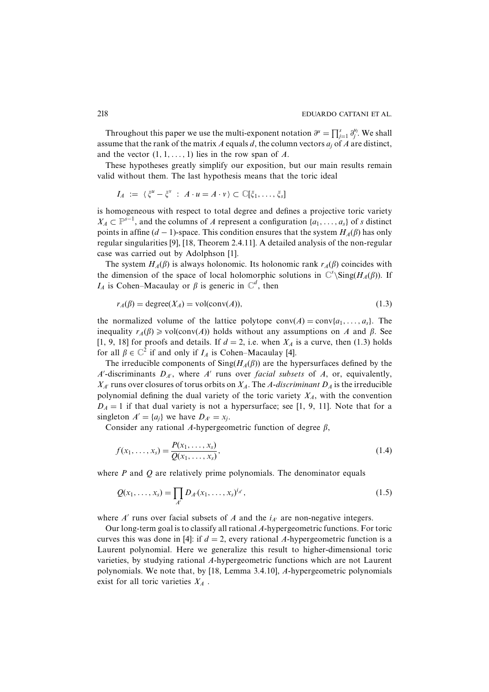Throughout this paper we use the multi-exponent notation  $\partial^{\mu} = \prod_{i=1}^{s} \partial_i^{\mu_i}$ . We shall assume that the rank of the matrix A equals d, the column vectors  $a_i$  of A are distinct, and the vector  $(1, 1, \ldots, 1)$  lies in the row span of A.

These hypotheses greatly simplify our exposition, but our main results remain valid without them. The last hypothesis means that the toric ideal

$$
I_A := \langle \xi^u - \xi^v : A \cdot u = A \cdot v \rangle \subset \mathbb{C}[\xi_1, \ldots, \xi_s]
$$

is homogeneous with respect to total degree and defines a projective toric variety  $X_A \subset \mathbb{P}^{s-1}$ , and the columns of A represent a configuration  $\{a_1, \ldots, a_s\}$  of s distinct points in affine  $(d-1)$ -space. This condition ensures that the system  $H<sub>A</sub>(\beta)$  has only regular singularities [9], [18, Theorem 2.4.11]. A detailed analysis of the non-regular case was carried out by Adolphson [1].

The system  $H_A(\beta)$  is always holonomic. Its holonomic rank  $r_A(\beta)$  coincides with the dimension of the space of local holomorphic solutions in  $\mathbb{C}^s$  Sing( $H_A(\beta)$ ). If  $I_A$  is Cohen–Macaulay or  $\beta$  is generic in  $\mathbb{C}^d$ , then

$$
r_A(\beta) = \text{degree}(X_A) = \text{vol}(\text{conv}(A)),\tag{1.3}
$$

the normalized volume of the lattice polytope  $\text{conv}(A) = \text{conv}\{a_1, \ldots, a_s\}$ . The inequality  $r_A(\beta) \geq v_0((\text{conv}(A))$  holds without any assumptions on A and  $\beta$ . See [1, 9, 18] for proofs and details. If  $d = 2$ , i.e. when  $X_A$  is a curve, then (1.3) holds for all  $\beta \in \mathbb{C}^2$  if and only if  $I_A$  is Cohen–Macaulay [4].

The irreducible components of  $\text{Sing}(H_A(\beta))$  are the hypersurfaces defined by the A'-discriminants  $D_{A'}$ , where A' runs over facial subsets of A, or, equivalently,  $X_{A'}$  runs over closures of torus orbits on  $X_A$ . The A-discriminant  $D_A$  is the irreducible polynomial defining the dual variety of the toric variety  $X_A$ , with the convention  $D_A = 1$  if that dual variety is not a hypersurface; see [1, 9, 11]. Note that for a singleton  $A' = \{a_j\}$  we have  $D_{A'} = x_j$ .

Consider any rational A-hypergeometric function of degree  $\beta$ ,

$$
f(x_1, ..., x_s) = \frac{P(x_1, ..., x_s)}{Q(x_1, ..., x_s)},
$$
\n(1.4)

where  $P$  and  $Q$  are relatively prime polynomials. The denominator equals

$$
Q(x_1, \ldots, x_s) = \prod_{A'} D_{A'}(x_1, \ldots, x_s)^{i_{A'}},
$$
\n(1.5)

where  $A'$  runs over facial subsets of A and the  $i_{A'}$  are non-negative integers.

Our long-term goal is to classify all rational A-hypergeometric functions. For toric curves this was done in [4]: if  $d = 2$ , every rational A-hypergeometric function is a Laurent polynomial. Here we generalize this result to higher-dimensional toric varieties, by studying rational A-hypergeometric functions which are not Laurent polynomials. We note that, by [18, Lemma 3.4.10], A-hypergeometric polynomials exist for all toric varieties  $X_A$ .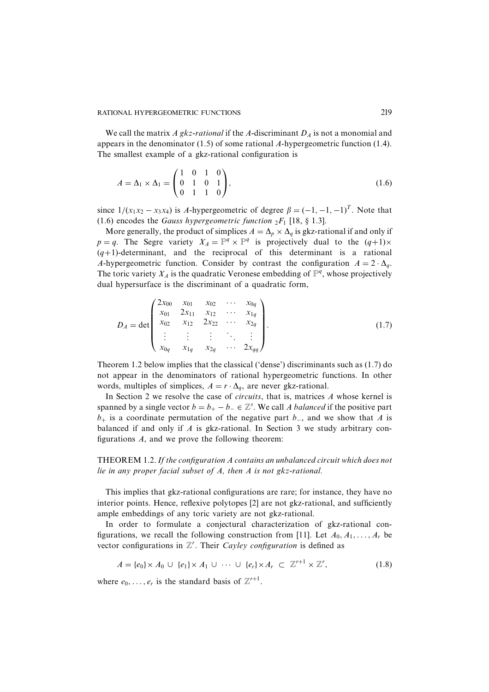We call the matrix A gkz-rational if the A-discriminant  $D<sub>A</sub>$  is not a monomial and appears in the denominator  $(1.5)$  of some rational A-hypergeometric function  $(1.4)$ . The smallest example of a gkz-rational configuration is

$$
A = \Delta_1 \times \Delta_1 = \begin{pmatrix} 1 & 0 & 1 & 0 \\ 0 & 1 & 0 & 1 \\ 0 & 1 & 1 & 0 \end{pmatrix},
$$
 (1.6)

since  $1/(x_1x_2 - x_3x_4)$  is A-hypergeometric of degree  $\beta = (-1, -1, -1)^T$ . Note that (1.6) encodes the Gauss hypergeometric function  ${}_2F_1$  [18, § 1.3].

More generally, the product of simplices  $A = \Delta_p \times \Delta_q$  is gkz-rational if and only if  $p = q$ . The Segre variety  $X_A = \mathbb{P}^q \times \mathbb{P}^q$  is projectively dual to the  $(q+1) \times$  $(q+1)$ -determinant, and the reciprocal of this determinant is a rational A-hypergeometric function. Consider by contrast the configuration  $A = 2 \cdot \Delta_q$ . The toric variety  $X_A$  is the quadratic Veronese embedding of  $\mathbb{P}^q$ , whose projectively dual hypersurface is the discriminant of a quadratic form,

$$
D_A = \det \begin{pmatrix} 2x_{00} & x_{01} & x_{02} & \cdots & x_{0q} \\ x_{01} & 2x_{11} & x_{12} & \cdots & x_{1q} \\ x_{02} & x_{12} & 2x_{22} & \cdots & x_{2q} \\ \vdots & \vdots & \vdots & \ddots & \vdots \\ x_{0q} & x_{1q} & x_{2q} & \cdots & 2x_{qq} \end{pmatrix} .
$$
 (1.7)

Theorem 1.2 below implies that the classical ('dense') discriminants such as (1.7) do not appear in the denominators of rational hypergeometric functions. In other words, multiples of simplices,  $A = r \cdot \Delta_q$ , are never gkz-rational.

In Section 2 we resolve the case of *circuits*, that is, matrices  $A$  whose kernel is spanned by a single vector  $b = b_+ - b_- \in \mathbb{Z}^s$ . We call A balanced if the positive part  $b_{+}$  is a coordinate permutation of the negative part  $b_{-}$ , and we show that A is balanced if and only if  $\Lambda$  is gkz-rational. In Section 3 we study arbitrary configurations  $A$ , and we prove the following theorem:

THEOREM 1.2. If the configuration A contains an unbalanced circuit which does not lie in any proper facial subset of  $A$ , then  $A$  is not gkz-rational.

This implies that gkz-rational configurations are rare; for instance, they have no interior points. Hence, reflexive polytopes [2] are not gkz-rational, and sufficiently ample embeddings of any toric variety are not gkz-rational.

In order to formulate a conjectural characterization of gkz-rational configurations, we recall the following construction from [11]. Let  $A_0, A_1, \ldots, A_r$  be vector configurations in  $\mathbb{Z}^r$ . Their *Cayley configuration* is defined as

$$
A = \{e_0\} \times A_0 \cup \{e_1\} \times A_1 \cup \cdots \cup \{e_r\} \times A_r \subset \mathbb{Z}^{r+1} \times \mathbb{Z}^r,
$$
\n
$$
(1.8)
$$

where  $e_0, \ldots, e_r$  is the standard basis of  $\mathbb{Z}^{r+1}$ .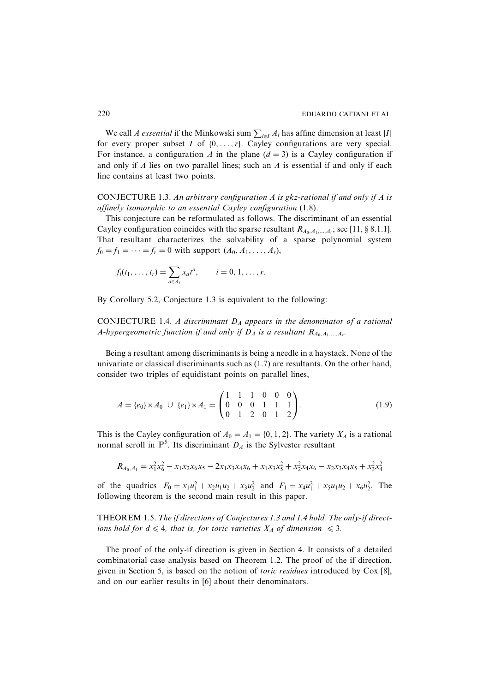We call *A essential* if the Minkowski sum  $\sum_{i \in I} A_i$  has affine dimension at least |*I*| for every proper subset  $I$  of  $\{0, \ldots, r\}$ . Cayley configurations are very special. For instance, a configuration A in the plane  $(d = 3)$  is a Cayley configuration if and only if  $A$  lies on two parallel lines; such an  $A$  is essential if and only if each line contains at least two points.

CONJECTURE 1.3. An arbitrary configuration A is gkz-rational if and only if A is affinely isomorphic to an essential Cayley configuration (1.8).

This conjecture can be reformulated as follows. The discriminant of an essential Cayley configuration coincides with the sparse resultant  $R_{A_0,A_1,...,A_r}$ ; see [11, § 8.1.1]. That resultant characterizes the solvability of a sparse polynomial system  $f_0 = f_1 = \cdots = f_r = 0$  with support  $(A_0, A_1, \ldots, A_r)$ ,

$$
f_i(t_1,..., t_r) = \sum_{a \in A_i} x_a t^a
$$
,  $i = 0, 1, ..., r$ .

By Corollary 5.2, Conjecture 1.3 is equivalent to the following:

CONJECTURE 1.4. A discriminant  $D_A$  appears in the denominator of a rational A-hypergeometric function if and only if  $D_A$  is a resultant  $R_{A_0,A_1,...,A_r}$ .

Being a resultant among discriminants is being a needle in a haystack. None of the univariate or classical discriminants such as  $(1.7)$  are resultants. On the other hand, consider two triples of equidistant points on parallel lines,

$$
A = \{e_0\} \times A_0 \cup \{e_1\} \times A_1 = \begin{pmatrix} 1 & 1 & 1 & 0 & 0 & 0 \\ 0 & 0 & 0 & 1 & 1 & 1 \\ 0 & 1 & 2 & 0 & 1 & 2 \end{pmatrix}.
$$
 (1.9)

This is the Cayley configuration of  $A_0 = A_1 = \{0, 1, 2\}$ . The variety  $X_A$  is a rational normal scroll in  $\mathbb{P}^5$ . Its discriminant  $D_A$  is the Sylvester resultant

$$
R_{A_0,A_1} = x_1^2 x_6^2 - x_1 x_2 x_6 x_5 - 2 x_1 x_3 x_4 x_6 + x_1 x_3 x_5^2 + x_2^2 x_4 x_6 - x_2 x_3 x_4 x_5 + x_3^2 x_4^2
$$

of the quadrics  $F_0 = x_1 u_1^2 + x_2 u_1 u_2 + x_3 u_2^2$  and  $F_1 = x_4 u_1^2 + x_5 u_1 u_2 + x_6 u_2^2$ . The following theorem is the second main result in this paper.

THEOREM 1.5. The if directions of Conjectures 1.3 and 1.4 hold. The only-if directions hold for  $d \leq 4$ , that is, for toric varieties  $X_A$  of dimension  $\leq 3$ .

The proof of the only-if direction is given in Section 4. It consists of a detailed combinatorial case analysis based on Theorem 1.2. The proof of the if direction, given in Section 5, is based on the notion of *toric residues* introduced by Cox [8], and on our earlier results in [6] about their denominators.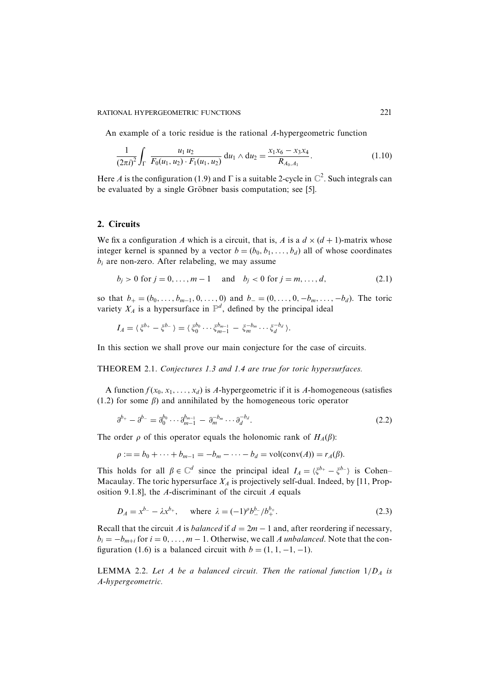#### RATIONAL HYPERGEOMETRIC FUNCTIONS

An example of a toric residue is the rational A-hypergeometric function

$$
\frac{1}{(2\pi i)^2} \int_{\Gamma} \frac{u_1 u_2}{F_0(u_1, u_2) \cdot F_1(u_1, u_2)} du_1 \wedge du_2 = \frac{x_1 x_6 - x_3 x_4}{R_{A_0, A_1}}.
$$
\n(1.10)

Here A is the configuration (1.9) and  $\Gamma$  is a suitable 2-cycle in  $\mathbb{C}^2$ . Such integrals can be evaluated by a single Gröbner basis computation; see [5].

# 2. Circuits

We fix a configuration A which is a circuit, that is, A is a  $d \times (d + 1)$ -matrix whose integer kernel is spanned by a vector  $b = (b_0, b_1, \dots, b_d)$  all of whose coordinates  $b_i$  are non-zero. After relabeling, we may assume

$$
b_i > 0
$$
 for  $j = 0, ..., m - 1$  and  $b_j < 0$  for  $j = m, ..., d$ , (2.1)

so that  $b_+ = (b_0, \ldots, b_{m-1}, 0, \ldots, 0)$  and  $b_- = (0, \ldots, 0, -b_m, \ldots, -b_d)$ . The toric variety  $X_A$  is a hypersurface in  $\mathbb{P}^d$ , defined by the principal ideal

 $I_A = \langle \xi^{b_+} - \xi^{b_-} \rangle = \langle \xi_0^{b_0} \cdots \xi_{m-1}^{b_{m-1}} - \xi_m^{-b_m} \cdots \xi_d^{-b_d} \rangle.$ 

In this section we shall prove our main conjecture for the case of circuits.

## THEOREM 2.1. Conjectures 1.3 and 1.4 are true for toric hypersurfaces.

A function  $f(x_0, x_1, \ldots, x_d)$  is A-hypergeometric if it is A-homogeneous (satisfies  $(1.2)$  for some  $\beta$ ) and annihilated by the homogeneous toric operator

$$
\partial^{b_+} - \partial^{b_-} = \partial_0^{b_0} \cdots \partial_{m-1}^{b_{m-1}} - \partial_m^{-b_m} \cdots \partial_d^{-b_d}.
$$
\n(2.2)

The order  $\rho$  of this operator equals the holonomic rank of  $H_A(\beta)$ :

$$
\rho := b_0 + \dots + b_{m-1} = -b_m - \dots - b_d = \text{vol}(\text{conv}(A)) = r_A(\beta).
$$

This holds for all  $\beta \in \mathbb{C}^d$  since the principal ideal  $I_A = \langle \xi^{b_+} - \xi^{b_-} \rangle$  is Cohen-Macaulay. The toric hypersurface  $X_A$  is projectively self-dual. Indeed, by [11, Proposition 9.1.8], the A-discriminant of the circuit  $A$  equals

$$
D_A = x^{b_-} - \lambda x^{b_+}, \quad \text{where } \lambda = (-1)^{\rho} b_-^b / b_+^b. \tag{2.3}
$$

Recall that the circuit A is balanced if  $d = 2m - 1$  and, after reordering if necessary,  $b_i = -b_{m+i}$  for  $i = 0, \ldots, m-1$ . Otherwise, we call A unbalanced. Note that the configuration (1.6) is a balanced circuit with  $b = (1, 1, -1, -1)$ .

**LEMMA** 2.2. Let A be a balanced circuit. Then the rational function  $1/D<sub>A</sub>$  is A-hypergeometric.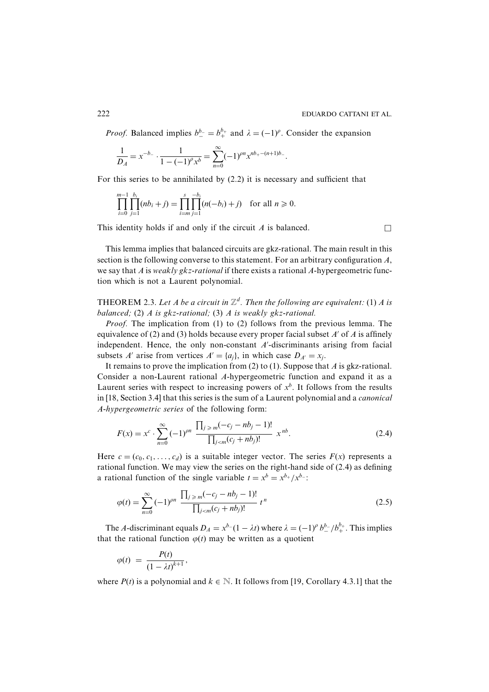*Proof.* Balanced implies  $b_{-}^{b-} = b_{+}^{b+}$  and  $\lambda = (-1)^{\rho}$ . Consider the expansion

$$
\frac{1}{D_A} = x^{-b_-} \cdot \frac{1}{1 - (-1)^{\rho} x^b} = \sum_{n=0}^{\infty} (-1)^{\rho} x^{nb_+ - (n+1)b_-}.
$$

For this series to be annihilated by  $(2.2)$  it is necessary and sufficient that

$$
\prod_{i=0}^{m-1} \prod_{j=1}^{b_i} (nb_i + j) = \prod_{i=m}^{s} \prod_{j=1}^{-b_i} (n(-b_i) + j) \text{ for all } n \geq 0.
$$

This identity holds if and only if the circuit  $A$  is balanced.

This lemma implies that balanced circuits are gkz-rational. The main result in this section is the following converse to this statement. For an arbitrary configuration  $A$ , we say that A is weakly gkz-rational if there exists a rational A-hypergeometric function which is not a Laurent polynomial.

**THEOREM** 2.3. Let A be a circuit in  $\mathbb{Z}^d$ . Then the following are equivalent: (1) A is balanced; (2) A is gkz-rational; (3) A is weakly gkz-rational.

*Proof.* The implication from (1) to (2) follows from the previous lemma. The equivalence of (2) and (3) holds because every proper facial subset  $A'$  of  $A$  is affinely independent. Hence, the only non-constant  $A'$ -discriminants arising from facial subsets A' arise from vertices  $A' = \{a_i\}$ , in which case  $D_{A'} = x_i$ .

It remains to prove the implication from (2) to (1). Suppose that  $\Lambda$  is gkz-rational. Consider a non-Laurent rational A-hypergeometric function and expand it as a Laurent series with respect to increasing powers of  $x^b$ . It follows from the results in [18, Section 3.4] that this series is the sum of a Laurent polynomial and a *canonical* A-hypergeometric series of the following form:

$$
F(x) = x^{c} \cdot \sum_{n=0}^{\infty} (-1)^{pn} \frac{\prod_{j \geq m} (-c_{j} - nb_{j} - 1)!}{\prod_{j < m} (c_{j} + nb_{j})!} x^{nb}.
$$
\n
$$
(2.4)
$$

Here  $c = (c_0, c_1, \ldots, c_d)$  is a suitable integer vector. The series  $F(x)$  represents a rational function. We may view the series on the right-hand side of  $(2.4)$  as defining a rational function of the single variable  $t = x^b = x^{b_+}/x^{b_-}$ .

$$
\varphi(t) = \sum_{n=0}^{\infty} (-1)^{pn} \frac{\prod_{j \ge m} (-c_j - nb_j - 1)!}{\prod_{j < m} (c_j + nb_j)!} t^n \tag{2.5}
$$

The A-discriminant equals  $D_A = x^{b-}(1 - \lambda t)$  where  $\lambda = (-1)^b b_-^b / b_+^b$ . This implies that the rational function  $\varphi(t)$  may be written as a quotient

$$
\varphi(t) = \frac{P(t)}{(1 - \lambda t)^{k+1}},
$$

where  $P(t)$  is a polynomial and  $k \in \mathbb{N}$ . It follows from [19, Corollary 4.3.1] that the

222

 $\Box$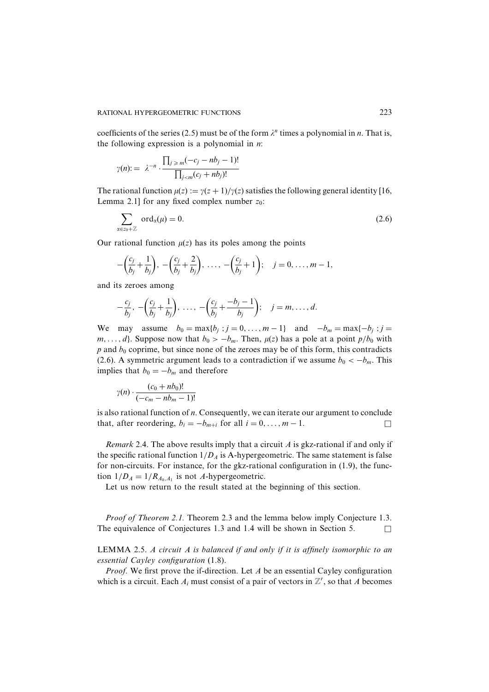coefficients of the series (2.5) must be of the form  $\lambda^n$  times a polynomial in *n*. That is, the following expression is a polynomial in  $n$ .

$$
\gamma(n) := \lambda^{-n} \cdot \frac{\prod_{j \ge m} (-c_j - nb_j - 1)!}{\prod_{j < m} (c_j + nb_j)!}
$$

The rational function  $\mu(z) := \gamma(z+1)/\gamma(z)$  satisfies the following general identity [16, Lemma 2.1] for any fixed complex number  $z_0$ :

$$
\sum_{\alpha \in z_0 + \mathbb{Z}} \text{ord}_{\alpha}(\mu) = 0. \tag{2.6}
$$

Our rational function  $\mu(z)$  has its poles among the points

$$
-\left(\frac{c_j}{b_j}+\frac{1}{b_j}\right), -\left(\frac{c_j}{b_j}+\frac{2}{b_j}\right), \ldots, -\left(\frac{c_j}{b_j}+1\right); \quad j=0,\ldots, m-1,
$$

and its zeroes among

$$
-\frac{c_j}{b_j}, -\left(\frac{c_j}{b_j}+\frac{1}{b_j}\right), \ldots, -\left(\frac{c_j}{b_j}+\frac{-b_j-1}{b_j}\right); \quad j=m, \ldots, d.
$$

We may assume  $b_0 = \max\{b_i : j = 0, ..., m-1\}$  and  $-b_m = \max\{-b_i : j = 0, ..., m-1\}$  $m, \ldots, d$ . Suppose now that  $b_0 > -b_m$ . Then,  $\mu(z)$  has a pole at a point  $p/b_0$  with  $p$  and  $b_0$  coprime, but since none of the zeroes may be of this form, this contradicts (2.6). A symmetric argument leads to a contradiction if we assume  $b_0 < -b_m$ . This implies that  $b_0 = -b_m$  and therefore

$$
\gamma(n) \cdot \frac{(c_0 + nb_0)!}{(-c_m - nb_m - 1)!}
$$

is also rational function of  $n$ . Consequently, we can iterate our argument to conclude that, after reordering,  $b_i = -b_{m+i}$  for all  $i = 0, ..., m - 1$ .  $\Box$ 

*Remark* 2.4. The above results imply that a circuit A is gkz-rational if and only if the specific rational function  $1/D_A$  is A-hypergeometric. The same statement is false for non-circuits. For instance, for the gkz-rational configuration in  $(1.9)$ , the function  $1/D_A = 1/R_{A_0,A_1}$  is not A-hypergeometric.

Let us now return to the result stated at the beginning of this section.

*Proof of Theorem 2.1.* Theorem 2.3 and the lemma below imply Conjecture 1.3. The equivalence of Conjectures 1.3 and 1.4 will be shown in Section 5.  $\Box$ 

LEMMA 2.5. A circuit A is balanced if and only if it is affinely isomorphic to an essential Cayley configuration (1.8).

*Proof.* We first prove the if-direction. Let  $A$  be an essential Cayley configuration which is a circuit. Each  $A_i$  must consist of a pair of vectors in  $\mathbb{Z}^r$ , so that A becomes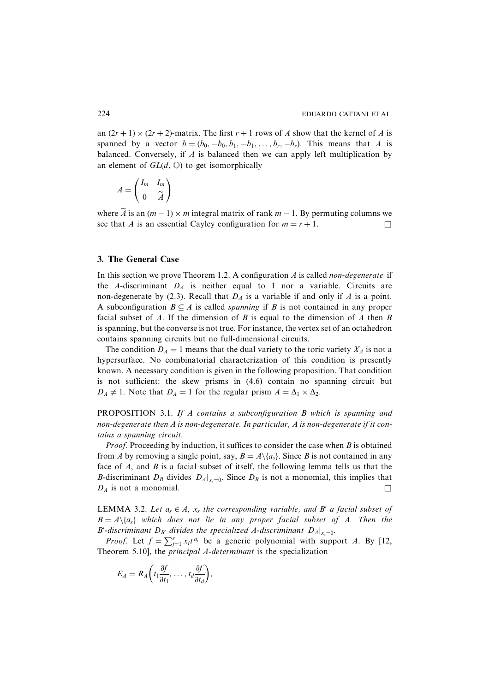an  $(2r + 1) \times (2r + 2)$ -matrix. The first  $r + 1$  rows of A show that the kernel of A is spanned by a vector  $b = (b_0, -b_0, b_1, -b_1, \dots, b_r, -b_r)$ . This means that A is balanced. Conversely, if  $A$  is balanced then we can apply left multiplication by an element of  $GL(d, \mathbb{Q})$  to get isomorphically

$$
A = \begin{pmatrix} I_m & I_m \\ 0 & \widetilde{A} \end{pmatrix}
$$

where  $\widetilde{A}$  is an  $(m-1) \times m$  integral matrix of rank  $m-1$ . By permuting columns we see that A is an essential Cayley configuration for  $m = r + 1$ .  $\Box$ 

# 3. The General Case

In this section we prove Theorem 1.2. A configuration  $\vec{A}$  is called *non-degenerate* if the A-discriminant  $D_A$  is neither equal to 1 nor a variable. Circuits are non-degenerate by (2.3). Recall that  $D_A$  is a variable if and only if A is a point. A subconfiguration  $B \subseteq A$  is called *spanning* if B is not contained in any proper facial subset of  $A$ . If the dimension of  $B$  is equal to the dimension of  $A$  then  $B$ is spanning, but the converse is not true. For instance, the vertex set of an octahedron contains spanning circuits but no full-dimensional circuits.

The condition  $D_A = 1$  means that the dual variety to the toric variety  $X_A$  is not a hypersurface. No combinatorial characterization of this condition is presently known. A necessary condition is given in the following proposition. That condition is not sufficient: the skew prisms in (4.6) contain no spanning circuit but  $D_A \neq 1$ . Note that  $D_A = 1$  for the regular prism  $A = \Delta_1 \times \Delta_2$ .

PROPOSITION 3.1. If A contains a subconfiguration B which is spanning and non-degenerate then A is non-degenerate. In particular, A is non-degenerate if it contains a spanning circuit.

*Proof.* Proceeding by induction, it suffices to consider the case when  $B$  is obtained from A by removing a single point, say,  $B = A \setminus \{a_s\}$ . Since B is not contained in any face of  $A$ , and  $B$  is a facial subset of itself, the following lemma tells us that the *B*-discriminant  $D_B$  divides  $D_A|_{x=0}$ . Since  $D_B$  is not a monomial, this implies that  $D_A$  is not a monomial.

**LEMMA** 3.2. Let  $a_s \in A$ ,  $x_s$  the corresponding variable, and B' a facial subset of  $B = A \setminus \{a_s\}$  which does not lie in any proper facial subset of A. Then the B'-discriminant  $D_{B'}$  divides the specialized A-discriminant  $D_{A}|_{x_{s}=0}$ .

*Proof.* Let  $f = \sum_{i=1}^{s} x_i t^{a_i}$  be a generic polynomial with support A. By [12, Theorem 5.10], the *principal A-determinant* is the specialization

$$
E_A = R_A \bigg( t_1 \frac{\partial f}{\partial t_1}, \ldots, t_d \frac{\partial f}{\partial t_d} \bigg),
$$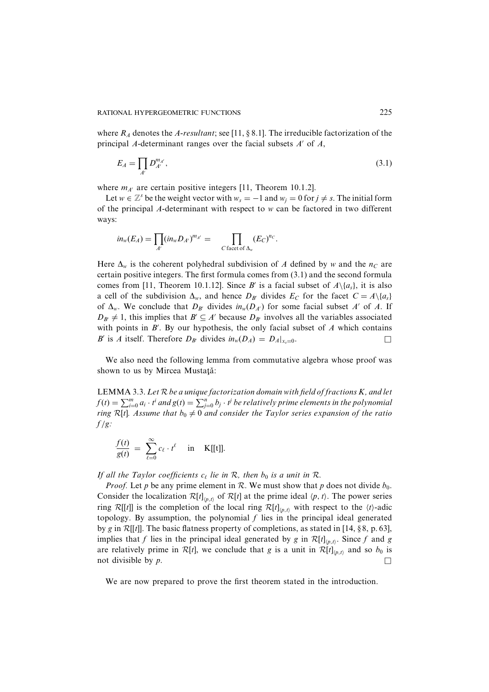where  $R_A$  denotes the A-resultant; see [11, § 8.1]. The irreducible factorization of the principal A-determinant ranges over the facial subsets  $A'$  of  $A$ ,

$$
E_A = \prod_{A'} D_{A'}^{m_{A'}},\tag{3.1}
$$

where  $m_{A'}$  are certain positive integers [11, Theorem 10.1.2].

Let  $w \in \mathbb{Z}^s$  be the weight vector with  $w_s = -1$  and  $w_i = 0$  for  $j \neq s$ . The initial form of the principal  $\Lambda$ -determinant with respect to w can be factored in two different ways:

$$
in_w(E_A) = \prod_{A'} (in_w D_{A'})^{m_{A'}} = \prod_{C \text{ facet of } \Delta_w} (E_C)^{n_C}.
$$

Here  $\Delta_w$  is the coherent polyhedral subdivision of A defined by w and the  $n_c$  are certain positive integers. The first formula comes from (3.1) and the second formula comes from [11, Theorem 10.1.12]. Since B' is a facial subset of  $A \setminus \{a_s\}$ , it is also a cell of the subdivision  $\Delta_w$ , and hence  $D_{B'}$  divides  $E_C$  for the facet  $C = A \setminus \{a_s\}$ of  $\Delta_w$ . We conclude that  $D_{B'}$  divides  $in_w(D_{A'})$  for some facial subset A' of A. If  $D_{B'} \neq 1$ , this implies that  $B' \subseteq A'$  because  $D_{B'}$  involves all the variables associated with points in  $B'$ . By our hypothesis, the only facial subset of  $A$  which contains B' is A itself. Therefore  $D_{B'}$  divides  $in_w(D_A) = D_A|_{X_0=0}$ . П

We also need the following lemma from commutative algebra whose proof was shown to us by Mircea Mustată:

LEMMA 3.3. Let  $R$  be a unique factorization domain with field of fractions  $K$ , and let  $f(t) = \sum_{i=0}^{m} a_i \cdot t^i$  and  $g(t) = \sum_{j=0}^{n} b_j \cdot t^j$  be relatively prime elements in the polynomial ring R[t]. Assume that  $b_0 \neq 0$  and consider the Taylor series expansion of the ratio  $f/g$ :

$$
\frac{f(t)}{g(t)} = \sum_{\ell=0}^{\infty} c_{\ell} \cdot t^{\ell} \quad \text{in} \quad \text{K}[[t]].
$$

If all the Taylor coefficients  $c_{\ell}$  lie in R, then  $b_0$  is a unit in R.

*Proof.* Let p be any prime element in R. We must show that p does not divide  $b_0$ . Consider the localization  $\mathcal{R}[t]_{(p,t)}$  of  $\mathcal{R}[t]$  at the prime ideal  $\langle p, t \rangle$ . The power series ring R[[t]] is the completion of the local ring R[t]<sub>(p,t)</sub> with respect to the  $(t)$ -adic topology. By assumption, the polynomial  $f$  lies in the principal ideal generated by g in  $\mathcal{R}[[t]]$ . The basic flatness property of completions, as stated in [14, §8, p. 63], implies that f lies in the principal ideal generated by g in  $\mathcal{R}[t]_{(n,t)}$ . Since f and g are relatively prime in  $\mathcal{R}[t]$ , we conclude that g is a unit in  $\mathcal{R}[t]_{(p,t)}$  and so  $b_0$  is not divisible by  $p$ .

We are now prepared to prove the first theorem stated in the introduction.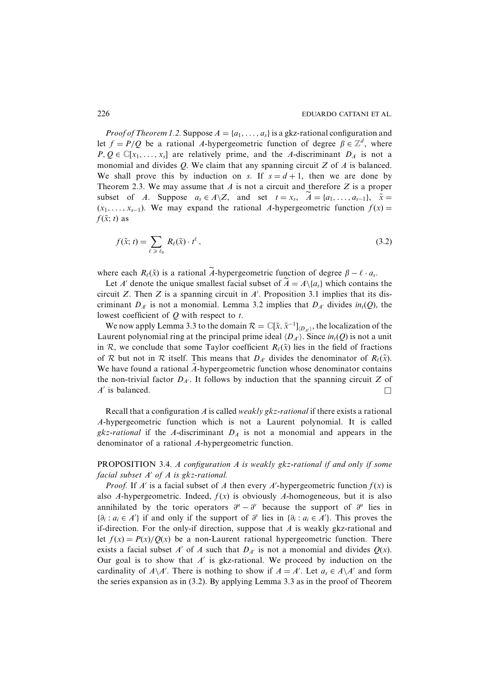*Proof of Theorem 1.2.* Suppose  $A = \{a_1, \ldots, a_s\}$  is a gkz-rational configuration and let  $f = P/Q$  be a rational A-hypergeometric function of degree  $\beta \in \mathbb{Z}^d$ , where  $P, Q \in \mathbb{C}[x_1, \ldots, x_s]$  are relatively prime, and the A-discriminant  $D_A$  is not a monomial and divides  $Q$ . We claim that any spanning circuit  $Z$  of  $A$  is balanced. We shall prove this by induction on s. If  $s = d + 1$ , then we are done by Theorem 2.3. We may assume that  $A$  is not a circuit and therefore  $Z$  is a proper subset of A. Suppose  $a_s \in A \setminus Z$ , and set  $t = x_s$ ,  $A = \{a_1, \ldots, a_{s-1}\}, \tilde{x} =$  $(x_1, \ldots, x_{s-1})$ . We may expand the rational A-hypergeometric function  $f(x) =$  $f(\tilde{x}; t)$  as

$$
f(\tilde{x}; t) = \sum_{\ell \ge \ell_0} R_{\ell}(\tilde{x}) \cdot t^{\ell}, \qquad (3.2)
$$

where each  $R_{\ell}(\tilde{x})$  is a rational A-hypergeometric function of degree  $\beta - \ell \cdot a_s$ .

Let A' denote the unique smallest facial subset of  $\widetilde{A} = A \setminus \{a_s\}$  which contains the circuit Z. Then Z is a spanning circuit in  $A'$ . Proposition 3.1 implies that its discriminant  $D_{A'}$  is not a monomial. Lemma 3.2 implies that  $D_{A'}$  divides  $in_{t}(Q)$ , the lowest coefficient of  $Q$  with respect to  $t$ .

We now apply Lemma 3.3 to the domain  $\mathcal{R} = \mathbb{C}[\tilde{x}, \tilde{x}^{-1}]_{(D_{\tilde{x}})}$ , the localization of the Laurent polynomial ring at the principal prime ideal  $\langle D_{A'} \rangle$ . Since  $in_{i}(Q)$  is not a unit in R, we conclude that some Taylor coefficient  $R_{\ell}(\tilde{x})$  lies in the field of fractions of R but not in R itself. This means that  $D_{A'}$  divides the denominator of  $R_{\ell}(\tilde{x})$ . We have found a rational A-hypergeometric function whose denominator contains the non-trivial factor  $D_{A'}$ . It follows by induction that the spanning circuit Z of  $A'$  is balanced.  $\Box$ 

Recall that a configuration  $A$  is called weakly gkz-rational if there exists a rational A-hypergeometric function which is not a Laurent polynomial. It is called gkz-rational if the A-discriminant  $D_A$  is not a monomial and appears in the denominator of a rational A-hypergeometric function.

PROPOSITION 3.4. A configuration A is weakly gkz-rational if and only if some facial subset  $A'$  of  $A$  is gkz-rational.

*Proof.* If A' is a facial subset of A then every A'-hypergeometric function  $f(x)$  is also A-hypergeometric. Indeed,  $f(x)$  is obviously A-homogeneous, but it is also annihilated by the toric operators  $\partial^{\mu} - \partial^{\nu}$  because the support of  $\partial^{\mu}$  lies in  $\{\partial_i : a_i \in A'\}$  if and only if the support of  $\partial^v$  lies in  $\{\partial_i : a_i \in A'\}$ . This proves the if-direction. For the only-if direction, suppose that A is weakly gkz-rational and let  $f(x) = P(x)/Q(x)$  be a non-Laurent rational hypergeometric function. There exists a facial subset A' of A such that  $D_{A'}$  is not a monomial and divides  $Q(x)$ . Our goal is to show that  $A'$  is gkz-rational. We proceed by induction on the cardinality of  $A \backslash A'$ . There is nothing to show if  $A = A'$ . Let  $a_s \in A \backslash A'$  and form the series expansion as in  $(3.2)$ . By applying Lemma 3.3 as in the proof of Theorem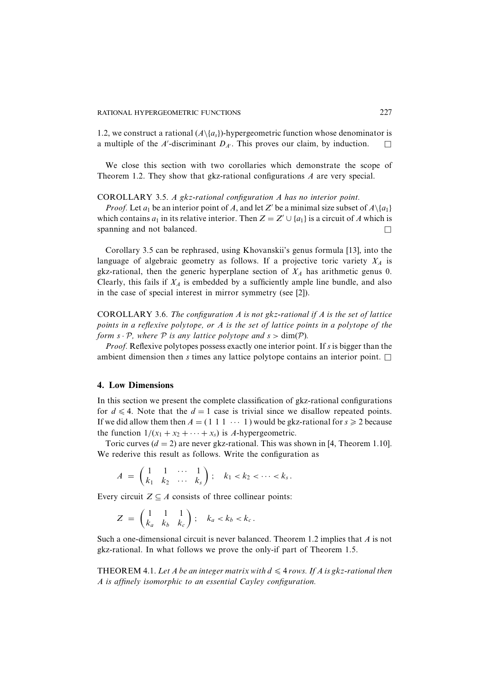1.2, we construct a rational  $(A \setminus \{a_{s}\})$ -hypergeometric function whose denominator is a multiple of the  $A'$ -discriminant  $D_{A'}$ . This proves our claim, by induction.  $\Box$ 

We close this section with two corollaries which demonstrate the scope of Theorem 1.2. They show that gkz-rational configurations  $A$  are very special.

#### COROLLARY 3.5. A gkz-rational configuration A has no interior point.

*Proof.* Let  $a_1$  be an interior point of A, and let Z' be a minimal size subset of  $A \setminus \{a_1\}$ which contains  $a_1$  in its relative interior. Then  $Z = Z' \cup \{a_1\}$  is a circuit of A which is spanning and not balanced.  $\Box$ 

Corollary 3.5 can be rephrased, using Khovanskii's genus formula [13], into the language of algebraic geometry as follows. If a projective toric variety  $X_A$  is gkz-rational, then the generic hyperplane section of  $X_A$  has arithmetic genus 0. Clearly, this fails if  $X_A$  is embedded by a sufficiently ample line bundle, and also in the case of special interest in mirror symmetry (see [2]).

COROLLARY 3.6. The configuration  $A$  is not gkz-rational if  $A$  is the set of lattice points in a reflexive polytope, or A is the set of lattice points in a polytope of the form  $s \cdot \mathcal{P}$ , where  $\mathcal P$  is any lattice polytope and  $s > \dim(\mathcal{P})$ .

*Proof.* Reflexive polytopes possess exactly one interior point. If s is bigger than the ambient dimension then s times any lattice polytope contains an interior point.  $\Box$ 

# **4. Low Dimensions**

In this section we present the complete classification of gkz-rational configurations for  $d \leq 4$ . Note that the  $d = 1$  case is trivial since we disallow repeated points. If we did allow them then  $A = (1 \ 1 \ 1 \ \cdots \ 1)$  would be gkz-rational for  $s \ge 2$  because the function  $1/(x_1 + x_2 + \cdots + x_s)$  is A-hypergeometric.

Toric curves  $(d = 2)$  are never gkz-rational. This was shown in [4, Theorem 1.10]. We rederive this result as follows. Write the configuration as

$$
A = \begin{pmatrix} 1 & 1 & \cdots & 1 \\ k_1 & k_2 & \cdots & k_s \end{pmatrix}; \quad k_1 < k_2 < \cdots < k_s.
$$

Every circuit  $Z \subseteq A$  consists of three collinear points:

$$
Z = \begin{pmatrix} 1 & 1 & 1 \\ k_a & k_b & k_c \end{pmatrix}; \quad k_a < k_b < k_c.
$$

Such a one-dimensional circuit is never balanced. Theorem 1.2 implies that  $\vec{A}$  is not gkz-rational. In what follows we prove the only-if part of Theorem 1.5.

**THEOREM 4.1.** Let A be an integer matrix with  $d \leq 4$  rows. If A is gkz-rational then A is affinely isomorphic to an essential Cayley configuration.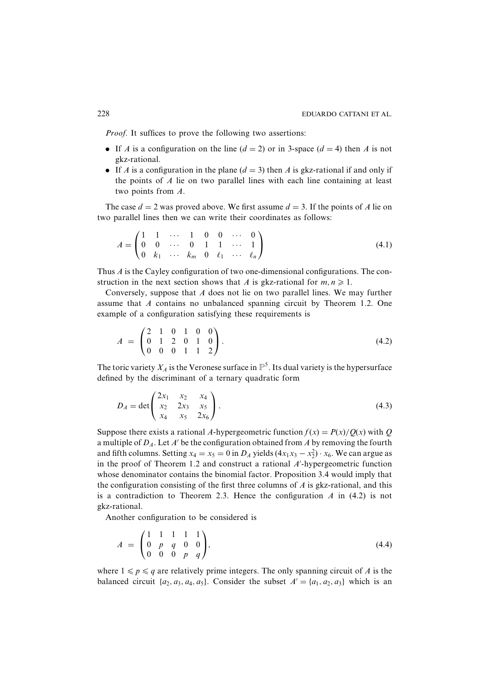*Proof.* It suffices to prove the following two assertions:

- If A is a configuration on the line  $(d = 2)$  or in 3-space  $(d = 4)$  then A is not gkz-rational.
- If A is a configuration in the plane  $(d = 3)$  then A is gkz-rational if and only if the points of  $A$  lie on two parallel lines with each line containing at least two points from  $A$ .

The case  $d = 2$  was proved above. We first assume  $d = 3$ . If the points of A lie on two parallel lines then we can write their coordinates as follows:

$$
A = \begin{pmatrix} 1 & 1 & \cdots & 1 & 0 & 0 & \cdots & 0 \\ 0 & 0 & \cdots & 0 & 1 & 1 & \cdots & 1 \\ 0 & k_1 & \cdots & k_m & 0 & \ell_1 & \cdots & \ell_n \end{pmatrix}
$$
(4.1)

Thus  $\vec{A}$  is the Cayley configuration of two one-dimensional configurations. The construction in the next section shows that A is gkz-rational for  $m, n \ge 1$ .

Conversely, suppose that  $\Lambda$  does not lie on two parallel lines. We may further assume that A contains no unbalanced spanning circuit by Theorem 1.2. One example of a configuration satisfying these requirements is

$$
A = \begin{pmatrix} 2 & 1 & 0 & 1 & 0 & 0 \\ 0 & 1 & 2 & 0 & 1 & 0 \\ 0 & 0 & 0 & 1 & 1 & 2 \end{pmatrix}.
$$
 (4.2)

The toric variety  $X_A$  is the Veronese surface in  $\mathbb{P}^5$ . Its dual variety is the hypersurface defined by the discriminant of a ternary quadratic form

$$
D_A = \det \begin{pmatrix} 2x_1 & x_2 & x_4 \\ x_2 & 2x_3 & x_5 \\ x_4 & x_5 & 2x_6 \end{pmatrix} . \tag{4.3}
$$

Suppose there exists a rational A-hypergeometric function  $f(x) = P(x)/Q(x)$  with Q a multiple of  $D_A$ . Let A' be the configuration obtained from A by removing the fourth and fifth columns. Setting  $x_4 = x_5 = 0$  in  $D_A$  yields  $(4x_1x_3 - x_2^2) \cdot x_6$ . We can argue as in the proof of Theorem 1.2 and construct a rational  $A'$ -hypergeometric function whose denominator contains the binomial factor. Proposition 3.4 would imply that the configuration consisting of the first three columns of  $\vec{A}$  is gkz-rational, and this is a contradiction to Theorem 2.3. Hence the configuration  $A$  in (4.2) is not gkz-rational.

Another configuration to be considered is

$$
A = \begin{pmatrix} 1 & 1 & 1 & 1 & 1 \\ 0 & p & q & 0 & 0 \\ 0 & 0 & 0 & p & q \end{pmatrix}, \tag{4.4}
$$

where  $1 \leq p \leq q$  are relatively prime integers. The only spanning circuit of A is the balanced circuit  $\{a_2, a_3, a_4, a_5\}$ . Consider the subset  $A' = \{a_1, a_2, a_3\}$  which is an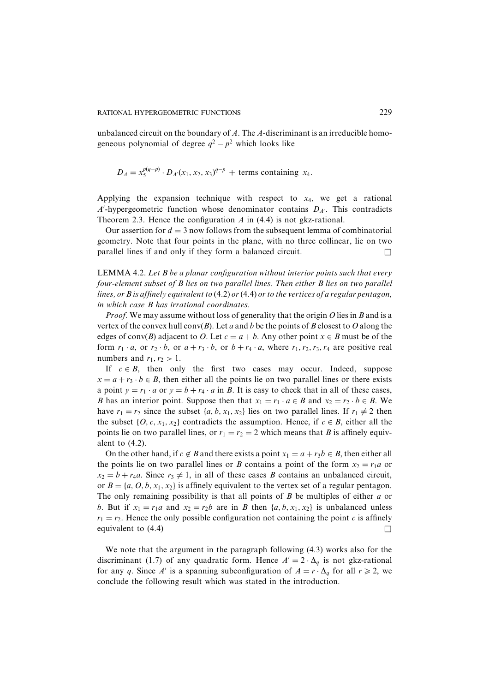unbalanced circuit on the boundary of A. The A-discriminant is an irreducible homogeneous polynomial of degree  $q^2 - p^2$  which looks like

$$
D_A = x_5^{p(q-p)} \cdot D_{A'}(x_1, x_2, x_3)^{q-p}
$$
 + terms containing x<sub>4</sub>

Applying the expansion technique with respect to  $x_4$ , we get a rational A'-hypergeometric function whose denominator contains  $D_{A'}$ . This contradicts Theorem 2.3. Hence the configuration  $A$  in (4.4) is not gkz-rational.

Our assertion for  $d = 3$  now follows from the subsequent lemma of combinatorial geometry. Note that four points in the plane, with no three collinear, lie on two parallel lines if and only if they form a balanced circuit. П

**LEMMA 4.2.** Let  $B$  be a planar configuration without interior points such that every four-element subset of B lies on two parallel lines. Then either B lies on two parallel lines, or B is affinely equivalent to  $(4.2)$  or  $(4.4)$  or to the vertices of a regular pentagon, in which case B has irrational coordinates.

*Proof.* We may assume without loss of generality that the origin  $O$  lies in  $B$  and is a vertex of the convex hull  $conv(B)$ . Let a and b be the points of B closest to O along the edges of conv(B) adjacent to O. Let  $c = a + b$ . Any other point  $x \in B$  must be of the form  $r_1 \cdot a$ , or  $r_2 \cdot b$ , or  $a + r_3 \cdot b$ , or  $b + r_4 \cdot a$ , where  $r_1, r_2, r_3, r_4$  are positive real numbers and  $r_1, r_2 > 1$ .

If  $c \in B$ , then only the first two cases may occur. Indeed, suppose  $x = a + r_3 \cdot b \in B$ , then either all the points lie on two parallel lines or there exists a point  $y = r_1 \cdot a$  or  $y = b + r_4 \cdot a$  in B. It is easy to check that in all of these cases, B has an interior point. Suppose then that  $x_1 = r_1 \cdot a \in B$  and  $x_2 = r_2 \cdot b \in B$ . We have  $r_1 = r_2$  since the subset  $\{a, b, x_1, x_2\}$  lies on two parallel lines. If  $r_1 \neq 2$  then the subset  $\{O, c, x_1, x_2\}$  contradicts the assumption. Hence, if  $c \in B$ , either all the points lie on two parallel lines, or  $r_1 = r_2 = 2$  which means that B is affinely equivalent to  $(4.2)$ .

On the other hand, if  $c \notin B$  and there exists a point  $x_1 = a + r_3b \in B$ , then either all the points lie on two parallel lines or B contains a point of the form  $x_2 = r_1 a$  or  $x_2 = b + r_4a$ . Since  $r_3 \neq 1$ , in all of these cases *B* contains an unbalanced circuit, or  $B = \{a, 0, b, x_1, x_2\}$  is affinely equivalent to the vertex set of a regular pentagon. The only remaining possibility is that all points of  $B$  be multiples of either  $a$  or b. But if  $x_1 = r_1 a$  and  $x_2 = r_2 b$  are in B then  $\{a, b, x_1, x_2\}$  is unbalanced unless  $r_1 = r_2$ . Hence the only possible configuration not containing the point c is affinely equivalent to  $(4.4)$  $\Box$ 

We note that the argument in the paragraph following (4.3) works also for the discriminant (1.7) of any quadratic form. Hence  $A' = 2 \cdot \Delta_q$  is not gkz-rational for any q. Since A' is a spanning subconfiguration of  $A = r \cdot \Delta_a$  for all  $r \ge 2$ , we conclude the following result which was stated in the introduction.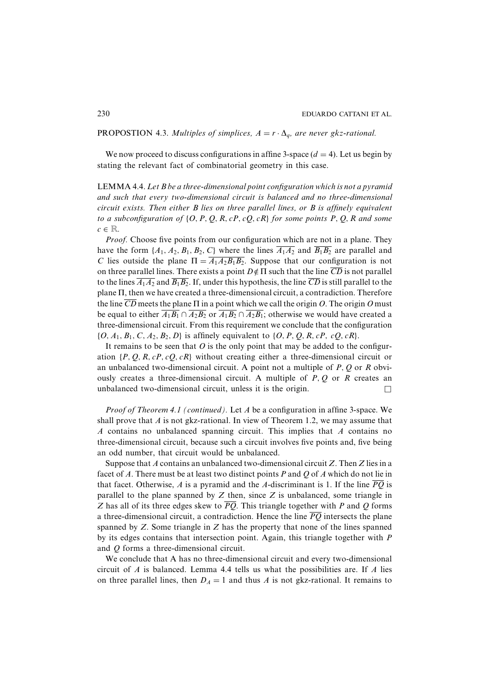## **PROPOSTION** 4.3. Multiples of simplices,  $A = r \cdot \Delta_q$ , are never gkz-rational.

We now proceed to discuss configurations in affine 3-space  $(d = 4)$ . Let us begin by stating the relevant fact of combinatorial geometry in this case.

**LEMMA 4.4.** Let  $B$  be a three-dimensional point configuration which is not a pyramid and such that every two-dimensional circuit is balanced and no three-dimensional  $circuit$  exists. Then either  $B$  lies on three parallel lines, or  $B$  is affinely equivalent to a subconfiguration of  $\{O, P, Q, R, cP, cQ, cR\}$  for some points P, Q, R and some  $c \in \mathbb{R}$ .

*Proof.* Choose five points from our configuration which are not in a plane. They have the form  $\{A_1, A_2, B_1, B_2, C\}$  where the lines  $\overline{A_1A_2}$  and  $\overline{B_1B_2}$  are parallel and C lies outside the plane  $\Pi = \overline{A_1 A_2 B_1 B_2}$ . Suppose that our configuration is not on three parallel lines. There exists a point  $D \notin \Pi$  such that the line  $\overline{CD}$  is not parallel to the lines  $\overline{A_1A_2}$  and  $\overline{B_1B_2}$ . If, under this hypothesis, the line  $\overline{CD}$  is still parallel to the plane  $\Pi$ , then we have created a three-dimensional circuit, a contradiction. Therefore the line  $\overline{CD}$  meets the plane  $\Pi$  in a point which we call the origin O. The origin O must be equal to either  $\overline{A_1B_1} \cap \overline{A_2B_2}$  or  $\overline{A_1B_2} \cap \overline{A_2B_1}$ ; otherwise we would have created a three-dimensional circuit. From this requirement we conclude that the configuration  $\{O, A_1, B_1, C, A_2, B_2, D\}$  is affinely equivalent to  $\{O, P, Q, R, cP, cQ, cR\}$ .

It remains to be seen that  $O$  is the only point that may be added to the configuration  $\{P, Q, R, cP, cQ, cR\}$  without creating either a three-dimensional circuit or an unbalanced two-dimensional circuit. A point not a multiple of  $P$ ,  $Q$  or  $R$  obviously creates a three-dimensional circuit. A multiple of  $P, Q$  or  $R$  creates an unbalanced two-dimensional circuit, unless it is the origin. П

*Proof of Theorem 4.1 (continued).* Let A be a configuration in affine 3-space. We shall prove that A is not gkz-rational. In view of Theorem 1.2, we may assume that A contains no unbalanced spanning circuit. This implies that A contains no three-dimensional circuit, because such a circuit involves five points and, five being an odd number, that circuit would be unbalanced.

Suppose that A contains an unbalanced two-dimensional circuit Z. Then Z lies in a facet of A. There must be at least two distinct points P and Q of A which do not lie in that facet. Otherwise, A is a pyramid and the A-discriminant is 1. If the line  $\overline{PQ}$  is parallel to the plane spanned by  $Z$  then, since  $Z$  is unbalanced, some triangle in Z has all of its three edges skew to  $\overline{PQ}$ . This triangle together with P and Q forms a three-dimensional circuit, a contradiction. Hence the line  $\overline{PQ}$  intersects the plane spanned by  $Z$ . Some triangle in  $Z$  has the property that none of the lines spanned by its edges contains that intersection point. Again, this triangle together with P and O forms a three-dimensional circuit.

We conclude that A has no three-dimensional circuit and every two-dimensional circuit of  $A$  is balanced. Lemma 4.4 tells us what the possibilities are. If  $A$  lies on three parallel lines, then  $D_A = 1$  and thus A is not gkz-rational. It remains to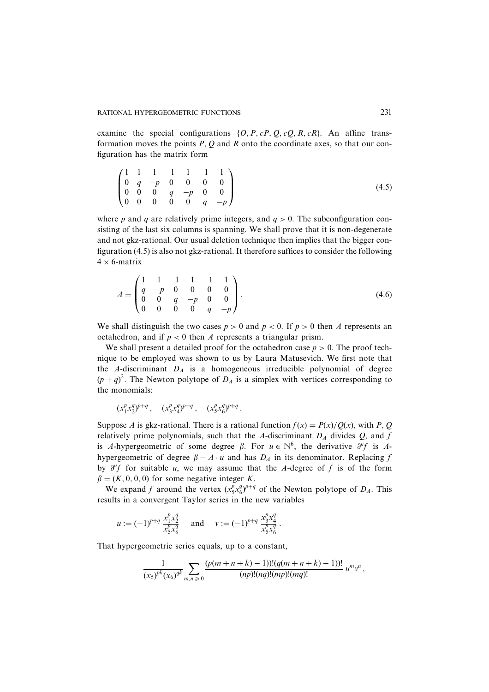examine the special configurations  $\{O, P, cP, Q, cQ, R, cR\}$ . An affine transformation moves the points  $P$ ,  $Q$  and  $R$  onto the coordinate axes, so that our configuration has the matrix form

$$
\begin{pmatrix}\n1 & 1 & 1 & 1 & 1 & 1 & 1 \\
0 & q & -p & 0 & 0 & 0 & 0 \\
0 & 0 & 0 & q & -p & 0 & 0 \\
0 & 0 & 0 & 0 & 0 & q & -p\n\end{pmatrix}
$$
\n(4.5)

where p and q are relatively prime integers, and  $q > 0$ . The subconfiguration consisting of the last six columns is spanning. We shall prove that it is non-degenerate and not gkz-rational. Our usual deletion technique then implies that the bigger configuration  $(4.5)$  is also not gkz-rational. It therefore suffices to consider the following  $4 \times 6$ -matrix

$$
A = \begin{pmatrix} 1 & 1 & 1 & 1 & 1 & 1 \\ q & -p & 0 & 0 & 0 & 0 \\ 0 & 0 & q & -p & 0 & 0 \\ 0 & 0 & 0 & 0 & q & -p \end{pmatrix}.
$$
 (4.6)

We shall distinguish the two cases  $p > 0$  and  $p < 0$ . If  $p > 0$  then A represents an octahedron, and if  $p < 0$  then A represents a triangular prism.

We shall present a detailed proof for the octahedron case  $p > 0$ . The proof technique to be employed was shown to us by Laura Matusevich. We first note that the A-discriminant  $D_A$  is a homogeneous irreducible polynomial of degree  $(p+q)^2$ . The Newton polytope of  $D_A$  is a simplex with vertices corresponding to the monomials:

$$
(x_1^p x_2^q)^{p+q}
$$
,  $(x_3^p x_4^q)^{p+q}$ ,  $(x_5^p x_6^q)^{p+q}$ .

Suppose A is gkz-rational. There is a rational function  $f(x) = P(x)/Q(x)$ , with P, Q relatively prime polynomials, such that the A-discriminant  $D_A$  divides Q, and f is A-hypergeometric of some degree  $\beta$ . For  $u \in \mathbb{N}^6$ , the derivative  $\partial^{\mu} f$  is Ahypergeometric of degree  $\beta - A \cdot u$  and has  $D_A$  in its denominator. Replacing f by  $\partial^{\mu}f$  for suitable u, we may assume that the A-degree of f is of the form  $\beta = (K, 0, 0, 0)$  for some negative integer K.

We expand f around the vertex  $(x_5^p x_6^q)^{p+q}$  of the Newton polytope of  $D_A$ . This results in a convergent Taylor series in the new variables

$$
u := (-1)^{p+q} \frac{x_1^p x_2^q}{x_5^p x_6^q}
$$
 and  $v := (-1)^{p+q} \frac{x_3^p x_4^q}{x_5^p x_6^q}$ .

That hypergeometric series equals, up to a constant,

$$
\frac{1}{(x_5)^{pk}(x_6)^{qk}}\sum_{m,n\geq 0}\frac{(p(m+n+k)-1))!(q(m+n+k)-1))!}{(np)!(nq)!(mp)!(mq)!}u^m\nu^n,
$$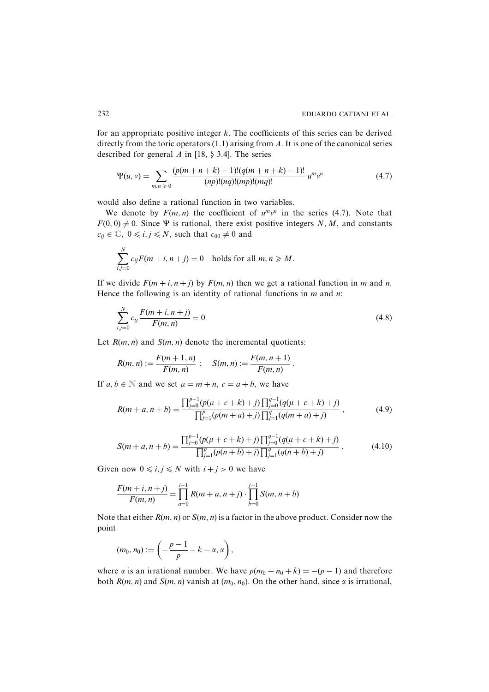for an appropriate positive integer  $k$ . The coefficients of this series can be derived directly from the toric operators  $(1.1)$  arising from A. It is one of the canonical series described for general A in [18,  $\S$  3.4]. The series

$$
\Psi(u, v) = \sum_{m,n \geq 0} \frac{(p(m+n+k)-1)!(q(m+n+k)-1)!}{(np)!(nq)!(mp)!(mq)!} u^m v^n \tag{4.7}
$$

would also define a rational function in two variables.

We denote by  $F(m, n)$  the coefficient of  $u^m v^n$  in the series (4.7). Note that  $F(0, 0) \neq 0$ . Since  $\Psi$  is rational, there exist positive integers N, M, and constants  $c_{ij} \in \mathbb{C}, 0 \le i, j \le N$ , such that  $c_{00} \neq 0$  and

$$
\sum_{i,j=0}^{N} c_{ij} F(m+i, n+j) = 0 \text{ holds for all } m, n \geq M.
$$

If we divide  $F(m+i, n+j)$  by  $F(m, n)$  then we get a rational function in m and n. Hence the following is an identity of rational functions in  $m$  and  $n$ .

$$
\sum_{i,j=0}^{N} c_{ij} \frac{F(m+i, n+j)}{F(m, n)} = 0
$$
\n(4.8)

Let  $R(m, n)$  and  $S(m, n)$  denote the incremental quotients:

$$
R(m, n) := \frac{F(m + 1, n)}{F(m, n)}; \quad S(m, n) := \frac{F(m, n + 1)}{F(m, n)}
$$

If  $a, b \in \mathbb{N}$  and we set  $\mu = m + n$ ,  $c = a + b$ , we have

$$
R(m+a, n+b) = \frac{\prod_{j=0}^{p-1} (p(\mu+c+k)+j) \prod_{j=0}^{q-1} (q(\mu+c+k)+j)}{\prod_{j=1}^{p} (p(m+a)+j) \prod_{j=1}^{q} (q(m+a)+j)},
$$
(4.9)

$$
S(m+a, n+b) = \frac{\prod_{j=0}^{p-1} (p(\mu+c+k)+j) \prod_{j=0}^{q-1} (q(\mu+c+k)+j)}{\prod_{j=1}^{p} (p(n+b)+j) \prod_{j=1}^{q} (q(n+b)+j)}.
$$
(4.10)

Given now  $0 \le i, j \le N$  with  $i + j > 0$  we have

$$
\frac{F(m+i, n+j)}{F(m, n)} = \prod_{a=0}^{i-1} R(m+a, n+j) \cdot \prod_{b=0}^{j-1} S(m, n+b)
$$

Note that either  $R(m, n)$  or  $S(m, n)$  is a factor in the above product. Consider now the point

$$
(m_0, n_0) := \left(-\frac{p-1}{p} - k - \alpha, \alpha\right),\,
$$

where  $\alpha$  is an irrational number. We have  $p(m_0 + n_0 + k) = -(p - 1)$  and therefore both  $R(m, n)$  and  $S(m, n)$  vanish at  $(m_0, n_0)$ . On the other hand, since  $\alpha$  is irrational,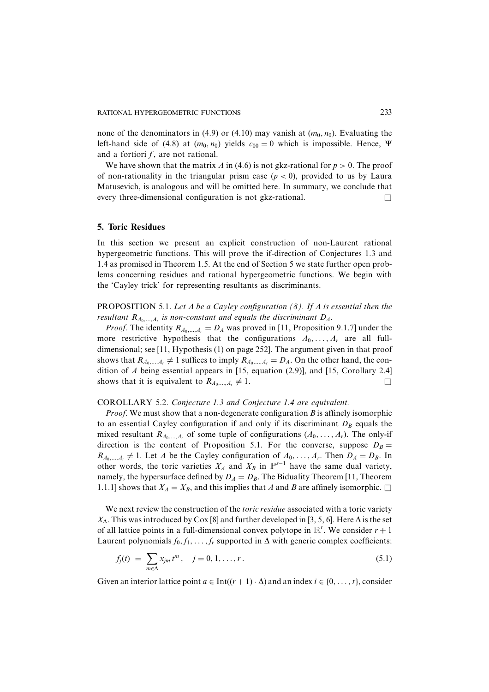none of the denominators in (4.9) or (4.10) may vanish at  $(m_0, n_0)$ . Evaluating the left-hand side of (4.8) at  $(m_0, n_0)$  yields  $c_{00} = 0$  which is impossible. Hence,  $\Psi$ and a fortiori  $f$ , are not rational.

We have shown that the matrix A in (4.6) is not gkz-rational for  $p > 0$ . The proof of non-rationality in the triangular prism case ( $p < 0$ ), provided to us by Laura Matusevich, is analogous and will be omitted here. In summary, we conclude that every three-dimensional configuration is not gkz-rational.  $\Box$ 

#### **5. Toric Residues**

In this section we present an explicit construction of non-Laurent rational hypergeometric functions. This will prove the if-direction of Conjectures 1.3 and 1.4 as promised in Theorem 1.5. At the end of Section 5 we state further open problems concerning residues and rational hypergeometric functions. We begin with the 'Cayley trick' for representing resultants as discriminants.

**PROPOSITION** 5.1. Let A be a Cayley configuration  $(8)$ . If A is essential then the resultant  $R_{A_0,...,A_r}$  is non-constant and equals the discriminant  $D_A$ .

*Proof.* The identity  $R_{A_0,...,A_r} = D_A$  was proved in [11, Proposition 9.1.7] under the more restrictive hypothesis that the configurations  $A_0, \ldots, A_r$  are all fulldimensional; see [11, Hypothesis (1) on page 252]. The argument given in that proof shows that  $R_{A_0,...,A_r} \neq 1$  suffices to imply  $R_{A_0,...,A_r} = D_A$ . On the other hand, the condition of  $A$  being essential appears in [15, equation (2.9)], and [15, Corollary 2.4] shows that it is equivalent to  $R_{A_0,...,A_r} \neq 1$ .  $\Box$ 

# COROLLARY 5.2. Conjecture 1.3 and Conjecture 1.4 are equivalent.

*Proof.* We must show that a non-degenerate configuration  $B$  is affinely isomorphic to an essential Cayley configuration if and only if its discriminant  $D_B$  equals the mixed resultant  $R_{A_0,...,A_r}$  of some tuple of configurations  $(A_0,...,A_r)$ . The only-if direction is the content of Proposition 5.1. For the converse, suppose  $D_B =$  $R_{A_0,...,A_r} \neq 1$ . Let A be the Cayley configuration of  $A_0,...,A_r$ . Then  $D_A = D_B$ . In other words, the toric varieties  $X_A$  and  $X_B$  in  $\mathbb{P}^{s-1}$  have the same dual variety, namely, the hypersurface defined by  $D_A = D_B$ . The Biduality Theorem [11, Theorem 1.1.1] shows that  $X_A = X_B$ , and this implies that A and B are affinely isomorphic.  $\Box$ 

We next review the construction of the *toric residue* associated with a toric variety  $X_{\Delta}$ . This was introduced by Cox [8] and further developed in [3, 5, 6]. Here  $\Delta$  is the set of all lattice points in a full-dimensional convex polytope in  $\mathbb{R}^r$ . We consider  $r + 1$ Laurent polynomials  $f_0, f_1, \ldots, f_r$  supported in  $\Delta$  with generic complex coefficients:

$$
f_j(t) = \sum_{m \in \Delta} x_{jm} t^m, \quad j = 0, 1, ..., r.
$$
 (5.1)

Given an interior lattice point  $a \in Int((r+1)\cdot \Delta)$  and an index  $i \in \{0, \ldots, r\}$ , consider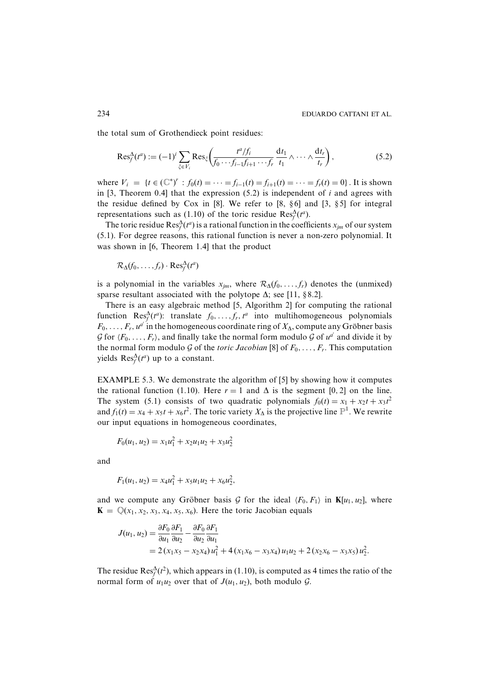the total sum of Grothendieck point residues:

$$
\operatorname{Res}_{f}^{\Delta}(t^{a}) := (-1)^{i} \sum_{\xi \in V_{i}} \operatorname{Res}_{\xi} \left( \frac{t^{a}/f_{i}}{f_{0} \cdots f_{i-1}f_{i+1} \cdots f_{r}} \frac{dt_{1}}{t_{1}} \wedge \cdots \wedge \frac{dt_{r}}{t_{r}} \right), \qquad (5.2)
$$

where  $V_i = \{t \in (\mathbb{C}^*)^r : f_0(t) = \cdots = f_{i-1}(t) = f_{i+1}(t) = \cdots = f_r(t) = 0\}$ . It is shown in [3, Theorem 0.4] that the expression  $(5.2)$  is independent of *i* and agrees with the residue defined by Cox in [8]. We refer to [8,  $\S 6$ ] and [3,  $\S 5$ ] for integral representations such as (1.10) of the toric residue Res<sup> $\Delta$ </sup>( $t^a$ ).

The toric residue  $\text{Res}_{f}^{\Delta}(t^{a})$  is a rational function in the coefficients  $x_{im}$  of our system (5.1). For degree reasons, this rational function is never a non-zero polynomial. It was shown in [6, Theorem 1.4] that the product

 $\mathcal{R}_{\Delta}(f_0,\ldots,f_r) \cdot \text{Res}^{\Delta}_f(t^a)$ 

is a polynomial in the variables  $x_{im}$ , where  $\mathcal{R}_{\Delta}(f_0, \ldots, f_r)$  denotes the (unmixed) sparse resultant associated with the polytope  $\Delta$ ; see [11, §8.2].

There is an easy algebraic method [5, Algorithm 2] for computing the rational function Res<sup> $\Delta$ </sup>( $t^a$ ): translate  $f_0, \ldots, f_r, t^a$  into multihomogeneous polynomials  $F_0, \ldots, F_r, u^{a'}$  in the homogeneous coordinate ring of  $X_{\Delta}$ , compute any Gröbner basis  $\mathcal G$  for  $\langle F_0,\ldots,F_r\rangle$ , and finally take the normal form modulo  $\mathcal G$  of  $u^d$  and divide it by the normal form modulo G of the *toric Jacobian* [8] of  $F_0, \ldots, F_r$ . This computation yields  $\text{Res}_{f}^{\Delta}(t^{a})$  up to a constant.

**EXAMPLE 5.3.** We demonstrate the algorithm of [5] by showing how it computes the rational function (1.10). Here  $r = 1$  and  $\Delta$  is the segment [0, 2] on the line. The system (5.1) consists of two quadratic polynomials  $f_0(t) = x_1 + x_2t + x_3t^2$ and  $f_1(t) = x_4 + x_5t + x_6t^2$ . The toric variety  $X_{\Delta}$  is the projective line  $\mathbb{P}^1$ . We rewrite our input equations in homogeneous coordinates,

$$
F_0(u_1, u_2) = x_1 u_1^2 + x_2 u_1 u_2 + x_3 u_2^2
$$

and

$$
F_1(u_1, u_2) = x_4 u_1^2 + x_5 u_1 u_2 + x_6 u_2^2,
$$

and we compute any Gröbner basis G for the ideal  $\langle F_0, F_1 \rangle$  in  $\mathbf{K}[u_1, u_2]$ , where  $\mathbf{K} = \mathbb{Q}(x_1, x_2, x_3, x_4, x_5, x_6)$ . Here the toric Jacobian equals

$$
J(u_1, u_2) = \frac{\partial F_0}{\partial u_1} \frac{\partial F_1}{\partial u_2} - \frac{\partial F_0}{\partial u_2} \frac{\partial F_1}{\partial u_1}
$$
  
= 2 (x<sub>1</sub>x<sub>5</sub> - x<sub>2</sub>x<sub>4</sub>) u<sub>1</sub><sup>2</sup> + 4 (x<sub>1</sub>x<sub>6</sub> - x<sub>3</sub>x<sub>4</sub>) u<sub>1</sub>u<sub>2</sub> + 2 (x<sub>2</sub>x<sub>6</sub> - x<sub>3</sub>x<sub>5</sub>) u<sub>2</sub><sup>2</sup>.

The residue Res<sup> $\Delta$ </sup>( $t^2$ ), which appears in (1.10), is computed as 4 times the ratio of the normal form of  $u_1u_2$  over that of  $J(u_1, u_2)$ , both modulo  $\mathcal{G}$ .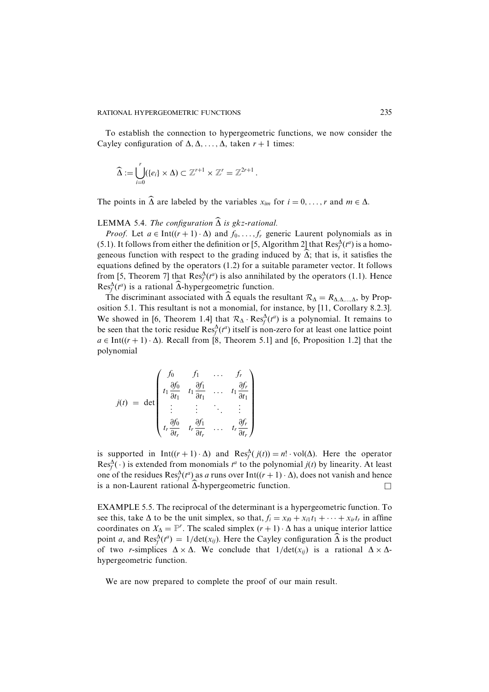To establish the connection to hypergeometric functions, we now consider the Cayley configuration of  $\Delta, \Delta, \ldots, \Delta$ , taken  $r + 1$  times:

$$
\widehat{\Delta} := \bigcup_{i=0}^r (\{e_i\} \times \Delta) \subset \mathbb{Z}^{r+1} \times \mathbb{Z}^r = \mathbb{Z}^{2r+1}.
$$

The points in  $\widehat{\Delta}$  are labeled by the variables  $x_{im}$  for  $i = 0, ..., r$  and  $m \in \Delta$ .

# **LEMMA 5.4.** The configuration  $\widehat{\Delta}$  is gkz-rational.

*Proof.* Let  $a \in Int((r+1) \cdot \Delta)$  and  $f_0, \ldots, f_r$  generic Laurent polynomials as in (5.1). It follows from either the definition or [5, Algorithm 2] that  $\text{Res}_{f}^{\Delta}(t^a)$  is a homogeneous function with respect to the grading induced by  $\widehat{\Delta}$ ; that is, it satisfies the equations defined by the operators  $(1.2)$  for a suitable parameter vector. It follows from [5, Theorem 7] that  $\text{Res}_{f}^{\Delta}(t^{a})$  is also annihilated by the operators (1.1). Hence  $\operatorname{Res}^{\Delta}_{f}(t^{a})$  is a rational  $\widehat{\Delta}$ -hypergeometric function.

The discriminant associated with  $\Delta$  equals the resultant  $\mathcal{R}_{\Delta} = R_{\Delta,\Delta,...,\Delta}$ , by Proposition 5.1. This resultant is not a monomial, for instance, by [11, Corollary 8.2.3]. We showed in [6, Theorem 1.4] that  $\mathcal{R}_{\Delta} \cdot \text{Res}_{f}^{\Delta}(t^{a})$  is a polynomial. It remains to be seen that the toric residue  $\text{Res}_{f}^{\Delta}(t^{a})$  itself is non-zero for at least one lattice point  $a \in Int((r+1)\cdot \Delta)$ . Recall from [8, Theorem 5.1] and [6, Proposition 1.2] that the polynomial

$$
j(t) = \det \begin{pmatrix} f_0 & f_1 & \dots & f_r \\ t_1 \frac{\partial f_0}{\partial t_1} & t_1 \frac{\partial f_1}{\partial t_1} & \dots & t_1 \frac{\partial f_r}{\partial t_1} \\ \vdots & \vdots & \ddots & \vdots \\ t_r \frac{\partial f_0}{\partial t_r} & t_r \frac{\partial f_1}{\partial t_r} & \dots & t_r \frac{\partial f_r}{\partial t_r} \end{pmatrix}
$$

is supported in Int( $(r + 1) \cdot \Delta$ ) and Res<sub>f</sub>( $j(t)$ ) = n! vol( $\Delta$ ). Here the operator  $\text{Res}_{t}^{\Delta}(\cdot)$  is extended from monomials  $t^{a}$  to the polynomial  $j(t)$  by linearity. At least one of the residues  $\text{Res}_{f}^{\Delta}(t^{a})$  as a runs over Int( $(r + 1) \cdot \Delta$ ), does not vanish and hence is a non-Laurent rational  $\widehat{\Delta}$ -hypergeometric function.  $\Box$ 

**EXAMPLE** 5.5. The reciprocal of the determinant is a hypergeometric function. To see this, take  $\Delta$  to be the unit simplex, so that,  $f_i = x_{i0} + x_{i1}t_1 + \cdots + x_{ir}t_r$  in affine coordinates on  $X_{\Delta} = \mathbb{P}^r$ . The scaled simplex  $(r + 1) \cdot \Delta$  has a unique interior lattice point a, and Res<sup> $\Delta$ </sup>( $t^a$ ) = 1/det( $x_{ij}$ ). Here the Cayley configuration  $\widehat{\Delta}$  is the product of two r-simplices  $\Delta \times \Delta$ . We conclude that  $1/\det(x_{ii})$  is a rational  $\Delta \times \Delta$ hypergeometric function.

We are now prepared to complete the proof of our main result.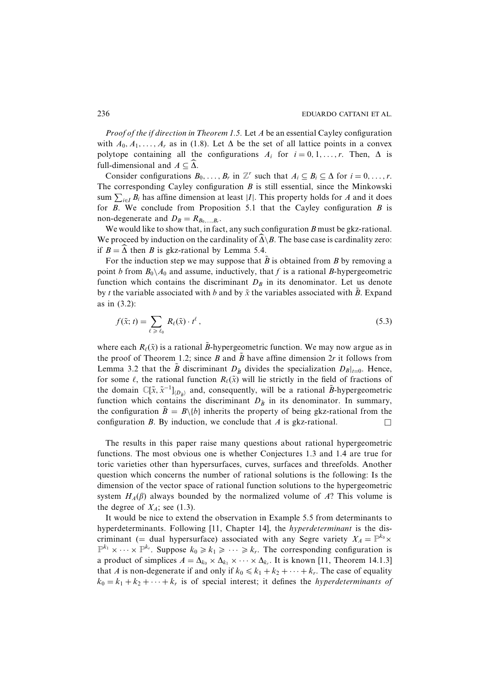*Proof of the if direction in Theorem 1.5.* Let A be an essential Cayley configuration with  $A_0, A_1, \ldots, A_r$  as in (1.8). Let  $\Delta$  be the set of all lattice points in a convex polytope containing all the configurations  $A_i$  for  $i = 0, 1, ..., r$ . Then,  $\Delta$  is full-dimensional and  $A \subseteq \Delta$ .

Consider configurations  $B_0, \ldots, B_r$  in  $\mathbb{Z}^r$  such that  $A_i \subseteq B_i \subseteq \Delta$  for  $i = 0, \ldots, r$ . The corresponding Cayley configuration  $B$  is still essential, since the Minkowski sum  $\sum_{i \in I} B_i$  has affine dimension at least |*I*|. This property holds for *A* and it does for  $B$ . We conclude from Proposition 5.1 that the Cayley configuration  $B$  is non-degenerate and  $D_B = R_{B_0,...,B_r}$ .

We would like to show that, in fact, any such configuration  $B$  must be gkz-rational. We proceed by induction on the cardinality of  $\widehat{\Delta} \setminus B$ . The base case is cardinality zero: if  $B = \widehat{\Delta}$  then B is gkz-rational by Lemma 5.4.

For the induction step we may suppose that  $\tilde{B}$  is obtained from B by removing a point b from  $B_0 \setminus A_0$  and assume, inductively, that f is a rational B-hypergeometric function which contains the discriminant  $D_B$  in its denominator. Let us denote by t the variable associated with b and by  $\tilde{x}$  the variables associated with  $\tilde{B}$ . Expand as in  $(3.2)$ :

$$
f(\tilde{x}; t) = \sum_{\ell \ge \ell_0} R_{\ell}(\tilde{x}) \cdot t^{\ell}, \qquad (5.3)
$$

where each  $R_{\ell}(\tilde{x})$  is a rational  $\tilde{B}$ -hypergeometric function. We may now argue as in the proof of Theorem 1.2; since B and  $\tilde{B}$  have affine dimension 2r it follows from Lemma 3.2 that the B discriminant  $D_{\tilde{B}}$  divides the specialization  $D_{B}|_{t=0}$ . Hence, for some  $\ell$ , the rational function  $R_{\ell}(\tilde{x})$  will lie strictly in the field of fractions of the domain  $\mathbb{C}[\tilde{x}, \tilde{x}^{-1}]_{(D_{\tilde{p}})}$  and, consequently, will be a rational *B*-hypergeometric function which contains the discriminant  $D_{\tilde{B}}$  in its denominator. In summary, the configuration  $\tilde{B} = B \setminus \{b\}$  inherits the property of being gkz-rational from the configuration  $B$ . By induction, we conclude that  $A$  is gkz-rational.  $\Box$ 

The results in this paper raise many questions about rational hypergeometric functions. The most obvious one is whether Conjectures 1.3 and 1.4 are true for toric varieties other than hypersurfaces, curves, surfaces and threefolds. Another question which concerns the number of rational solutions is the following: Is the dimension of the vector space of rational function solutions to the hypergeometric system  $H_A(\beta)$  always bounded by the normalized volume of A? This volume is the degree of  $X_A$ ; see (1.3).

It would be nice to extend the observation in Example 5.5 from determinants to hyperdeterminants. Following [11, Chapter 14], the *hyperdeterminant* is the discriminant (= dual hypersurface) associated with any Segre variety  $X_A = \mathbb{P}^{k_0} \times$  $\mathbb{P}^{k_1} \times \cdots \times \mathbb{P}^{k_r}$ . Suppose  $k_0 \ge k_1 \ge \cdots \ge k_r$ . The corresponding configuration is a product of simplices  $A = \Delta_{k_0} \times \Delta_{k_1} \times \cdots \times \Delta_{k_r}$ . It is known [11, Theorem 14.1.3] that A is non-degenerate if and only if  $k_0 \le k_1 + k_2 + \cdots + k_r$ . The case of equality  $k_0 = k_1 + k_2 + \cdots + k_r$  is of special interest; it defines the *hyperdeterminants of*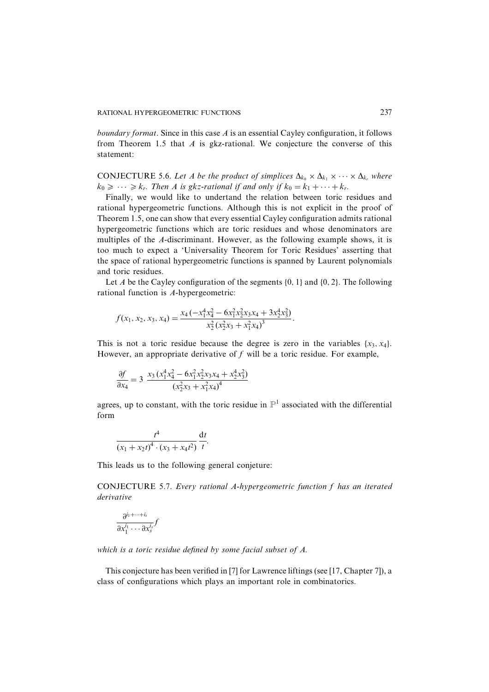*boundary format.* Since in this case  $\vec{A}$  is an essential Cayley configuration, it follows from Theorem 1.5 that  $A$  is gkz-rational. We conjecture the converse of this statement:

CONJECTURE 5.6. Let A be the product of simplices  $\Delta_{k_0} \times \Delta_{k_1} \times \cdots \times \Delta_{k_r}$  where  $k_0 \geqslant \cdots \geqslant k_r$ . Then A is gkz-rational if and only if  $k_0 = k_1 + \cdots + k_r$ .

Finally, we would like to undertand the relation between toric residues and rational hypergeometric functions. Although this is not explicit in the proof of Theorem 1.5, one can show that every essential Cayley configuration admits rational hypergeometric functions which are toric residues and whose denominators are multiples of the A-discriminant. However, as the following example shows, it is too much to expect a 'Universality Theorem for Toric Residues' asserting that the space of rational hypergeometric functions is spanned by Laurent polynomials and toric residues.

Let A be the Cayley configuration of the segments  $\{0, 1\}$  and  $\{0, 2\}$ . The following rational function is A-hypergeometric:

$$
f(x_1, x_2, x_3, x_4) = \frac{x_4(-x_1^4x_4^2 - 6x_1^2x_2^2x_3x_4 + 3x_2^4x_3^2)}{x_2^2(x_2^2x_3 + x_1^2x_4)^3}.
$$

This is not a toric residue because the degree is zero in the variables  $\{x_3, x_4\}$ . However, an appropriate derivative of  $f$  will be a toric residue. For example,

$$
\frac{\partial f}{\partial x_4} = 3 \frac{x_3 (x_1^4 x_4^2 - 6x_1^2 x_2^2 x_3 x_4 + x_2^4 x_3^2)}{(x_2^2 x_3 + x_1^2 x_4)^4}
$$

agrees, up to constant, with the toric residue in  $\mathbb{P}^1$  associated with the differential form

$$
\frac{t^4}{(x_1 + x_2 t)^4 \cdot (x_3 + x_4 t^2)} \frac{\mathrm{d}t}{t}
$$

This leads us to the following general conjeture:

CONJECTURE 5.7. Every rational A-hypergeometric function f has an iterated derivative

$$
\frac{\partial^{i_1+\dots+i_s}}{\partial x_1^{i_1}\cdots\partial x_s^{i_s}} f
$$

which is a toric residue defined by some facial subset of  $A$ .

This conjecture has been verified in [7] for Lawrence liftings (see [17, Chapter 7]), a class of configurations which plays an important role in combinatorics.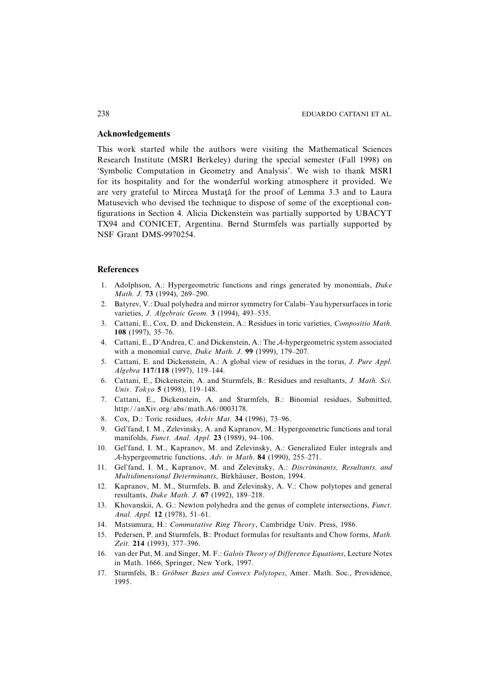# **Acknowledgements**

This work started while the authors were visiting the Mathematical Sciences Research Institute (MSRI Berkeley) during the special semester (Fall 1998) on 'Symbolic Computation in Geometry and Analysis'. We wish to thank MSRI for its hospitality and for the wonderful working atmosphere it provided. We are very grateful to Mircea Mustață for the proof of Lemma 3.3 and to Laura Matusevich who devised the technique to dispose of some of the exceptional configurations in Section 4. Alicia Dickenstein was partially supported by UBACYT TX94 and CONICET, Argentina. Bernd Sturmfels was partially supported by NSF Grant DMS-9970254.

#### **References**

- 1. Adolphson, A.: Hypergeometric functions and rings generated by monomials, Duke Math. J. 73 (1994), 269-290.
- $2<sub>1</sub>$ Batyrev, V.: Dual polyhedra and mirror symmetry for Calabi–Yau hypersurfaces in toric varieties, J. Algebraic Geom. 3 (1994), 493-535.
- 3. Cattani, E., Cox, D. and Dickenstein, A.: Residues in toric varieties, Compositio Math. 108  $(1997)$ , 35-76.
- 4. Cattani, E., D'Andrea, C. and Dickenstein, A.: The A-hypergeometric system associated with a monomial curve, *Duke Math. J.* 99 (1999), 179-207.
- 5. Cattani, E. and Dickenstein, A.: A global view of residues in the torus, J. Pure Appl. Algebra 117/118 (1997), 119-144.
- 6. Cattani, E., Dickenstein, A. and Sturmfels, B.: Residues and resultants, J. Math. Sci. Univ. Tokyo 5 (1998), 119-148.
- 7. Cattani, E., Dickenstein, A. and Sturmfels, B.: Binomial residues, Submitted, http://anXiv.org/abs/math.A6/0003178.
- 8. Cox, D.: Toric residues, Arkiv Mat. 34 (1996), 73-96.
- 9. Gel'fand, I. M., Zelevinsky, A. and Kapranov, M.: Hypergeometric functions and toral manifolds, *Funct. Anal. Appl.* 23 (1989), 94-106.
- 10. Gel'fand, I. M., Kapranov, M. and Zelevinsky, A.: Generalized Euler integrals and A-hypergeometric functions, Adv. in Math. 84 (1990), 255-271.
- 11. Gel'fand, I. M., Kapranov, M. and Zelevinsky, A.: Discriminants, Resultants, and Multidimensional Determinants, Birkhäuser, Boston, 1994.
- 12. Kapranov, M. M., Sturmfels, B. and Zelevinsky, A. V.: Chow polytopes and general resultants, *Duke Math. J.* 67 (1992), 189-218.
- 13. Khovanskii, A. G.: Newton polyhedra and the genus of complete intersections, Funct. Anal. Appl. 12 (1978), 51-61.
- 14. Matsumura, H.: Commutative Ring Theory, Cambridge Univ. Press, 1986.
- 15. Pedersen, P. and Sturmfels, B.: Product formulas for resultants and Chow forms, Math. Zeit. 214 (1993), 377-396.
- 16. van der Put, M. and Singer, M. F.: Galois Theory of Difference Equations, Lecture Notes in Math. 1666. Springer, New York, 1997.
- 17. Sturmfels, B.: Gröbner Bases and Convex Polytopes, Amer. Math. Soc., Providence, 1995